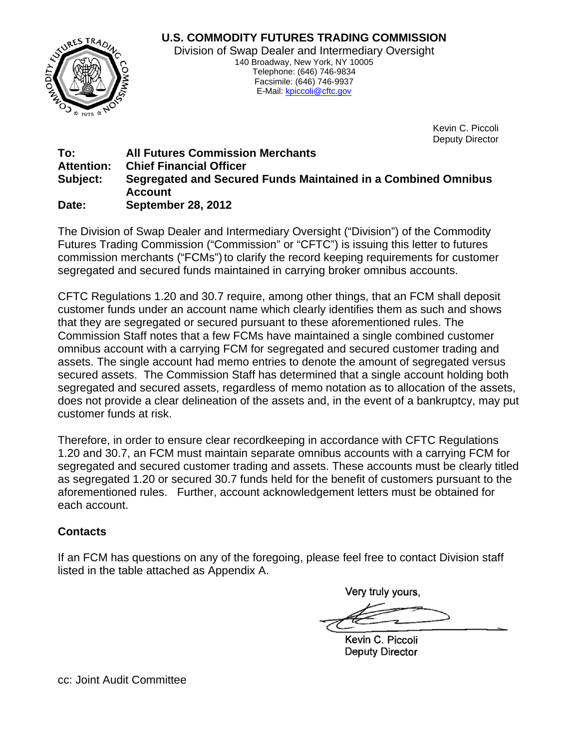

Kevin C. Piccoli Deputy Director

## **To: All Futures Commission Merchants Attention: Chief Financial Officer Subject: Segregated and Secured Funds Maintained in a Combined Omnibus Account Date: September 28, 2012**

The Division of Swap Dealer and Intermediary Oversight ("Division") of the Commodity Futures Trading Commission ("Commission" or "CFTC") is issuing this letter to futures commission merchants ("FCMs") to clarify the record keeping requirements for customer segregated and secured funds maintained in carrying broker omnibus accounts.

CFTC Regulations 1.20 and 30.7 require, among other things, that an FCM shall deposit customer funds under an account name which clearly identifies them as such and shows that they are segregated or secured pursuant to these aforementioned rules. The Commission Staff notes that a few FCMs have maintained a single combined customer omnibus account with a carrying FCM for segregated and secured customer trading and assets. The single account had memo entries to denote the amount of segregated versus secured assets. The Commission Staff has determined that a single account holding both segregated and secured assets, regardless of memo notation as to allocation of the assets, does not provide a clear delineation of the assets and, in the event of a bankruptcy, may put customer funds at risk.

Therefore, in order to ensure clear recordkeeping in accordance with CFTC Regulations 1.20 and 30.7, an FCM must maintain separate omnibus accounts with a carrying FCM for segregated and secured customer trading and assets. These accounts must be clearly titled as segregated 1.20 or secured 30.7 funds held for the benefit of customers pursuant to the aforementioned rules. Further, account acknowledgement letters must be obtained for each account.

## **Contacts**

If an FCM has questions on any of the foregoing, please feel free to contact Division staff listed in the table attached as Appendix A.

Verv trulv vours.

Kevin C. Piccoli **Deputy Director** 

cc: Joint Audit Committee